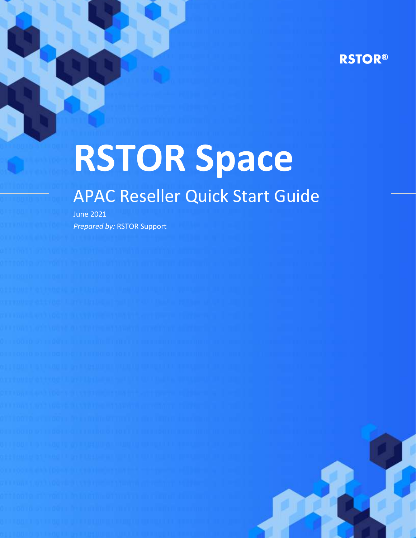# **RSTOR®**

# **RSTOR Space**

# APAC Reseller Quick Start Guide

June 2021 *Prepared by:* RSTOR Support

rstor.io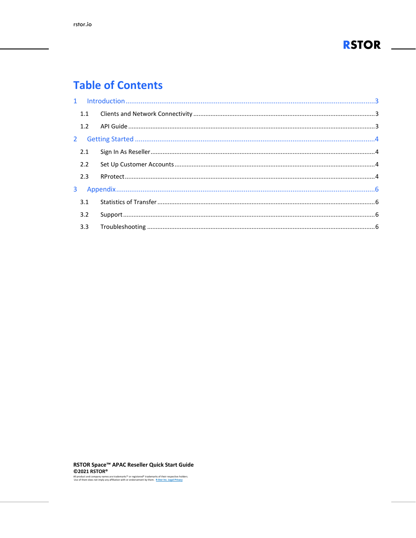

# **Table of Contents**

| 2.2 |  |
|-----|--|
| 2.3 |  |
|     |  |
|     |  |
| 3.2 |  |
|     |  |
|     |  |

RSTOR Space™ APAC Reseller Quick Start Guide **©2021 RSTOR®** 

All product and company names are trademarks" or registered<sup>®</sup> trademarks of their respective holders.<br>Use of them does not imply any affiliation with or endorsement by them. <u>R-Stor Inc. Legal Privacy</u>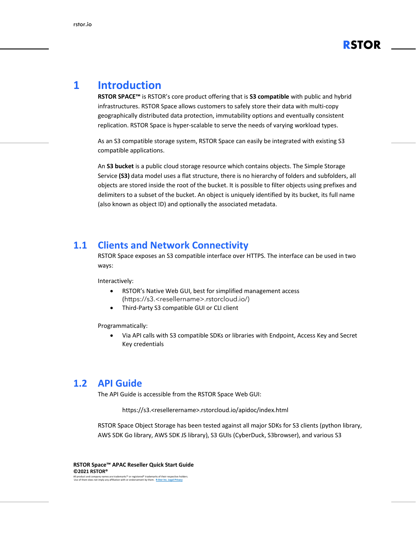

# <span id="page-2-0"></span>**1 Introduction**

**RSTOR SPACE™** is RSTOR's core product offering that is **S3 compatible** with public and hybrid infrastructures. RSTOR Space allows customers to safely store their data with multi-copy geographically distributed data protection, immutability options and eventually consistent replication. RSTOR Space is hyper-scalable to serve the needs of varying workload types.

As an S3 compatible storage system, RSTOR Space can easily be integrated with existing S3 compatible applications.

An **S3 bucket** is a public cloud storage resource which contains objects. The Simple Storage Service **(S3)** data model uses a flat structure, there is no hierarchy of folders and subfolders, all objects are stored inside the root of the bucket. It is possible to filter objects using prefixes and delimiters to a subset of the bucket. An object is uniquely identified by its bucket, its full name (also known as object ID) and optionally the associated metadata.

#### <span id="page-2-1"></span>**1.1 Clients and Network Connectivity**

RSTOR Space exposes an S3 compatible interface over HTTPS. The interface can be used in two ways:

Interactively:

- RSTOR's Native Web GUI, best for simplified management access (https://s3.<resellername>.rstorcloud.io/)
- Third-Party S3 compatible GUI or CLI client

Programmatically:

• Via API calls with S3 compatible SDKs or libraries with Endpoint, Access Key and Secret Key credentials

#### <span id="page-2-2"></span>**1.2 API Guide**

The API Guide is accessible from the RSTOR Space Web GUI:

https://s3.<resellerername>.rstorcloud.io/apidoc/index.html

RSTOR Space Object Storage has been tested against all major SDKs for S3 clients (python library, AWS SDK Go library, AWS SDK JS library), S3 GUIs (CyberDuck, S3browser), and various S3

**RSTOR Space™ APAC Reseller Quick Start Guide ©2021 RSTOR®** All product and company names are trademarks™ or registered® trademarks of their respective holders. Use of them does not imply any affiliation with or endorsement by them. **[R-Stor Inc. Legal Privacy](https://www.rstor.io/legal-privacy/)**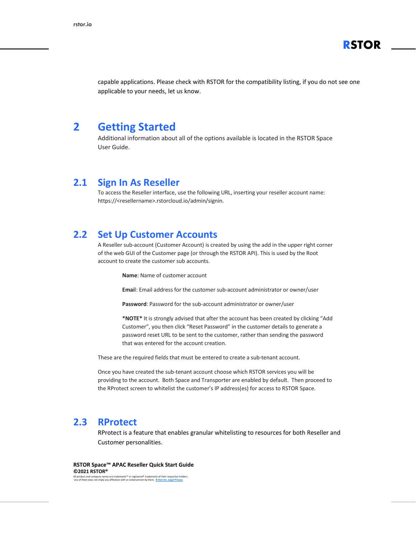

capable applications. Please check with RSTOR for the compatibility listing, if you do not see one applicable to your needs, let us know.

#### <span id="page-3-0"></span>**2 Getting Started**

Additional information about all of the options available is located in the RSTOR Space User Guide.

#### <span id="page-3-1"></span>**2.1 Sign In As Reseller**

To access the Reseller interface, use the following URL, inserting your reseller account name: https://<resellername>.rstorcloud.io/admin/signin.

#### <span id="page-3-2"></span>**2.2 Set Up Customer Accounts**

A Reseller sub-account (Customer Account) is created by using the add in the upper right corner of the web GUI of the Customer page (or through the RSTOR API). This is used by the Root account to create the customer sub accounts.

**Name**: Name of customer account

**Emai**l: Email address for the customer sub-account administrator or owner/user

**Password**: Password for the sub-account administrator or owner/user

**\*NOTE\*** It is strongly advised that after the account has been created by clicking "Add Customer", you then click "Reset Password" in the customer details to generate a password reset URL to be sent to the customer, rather than sending the password that was entered for the account creation.

These are the required fields that must be entered to create a sub-tenant account.

Once you have created the sub-tenant account choose which RSTOR services you will be providing to the account. Both Space and Transporter are enabled by default. Then proceed to the RProtect screen to whitelist the customer's IP address(es) for access to RSTOR Space.

#### <span id="page-3-3"></span>**2.3 RProtect**

RProtect is a feature that enables granular whitelisting to resources for both Reseller and Customer personalities.

**RSTOR Space™ APAC Reseller Quick Start Guide ©2021 RSTOR®**

All product and company names are trademarks™ or registered® trademarks of their respective holders. Use of them does not imply any affiliation with or endorsement by them. **[R-Stor Inc. Legal Privacy](https://www.rstor.io/legal-privacy/)**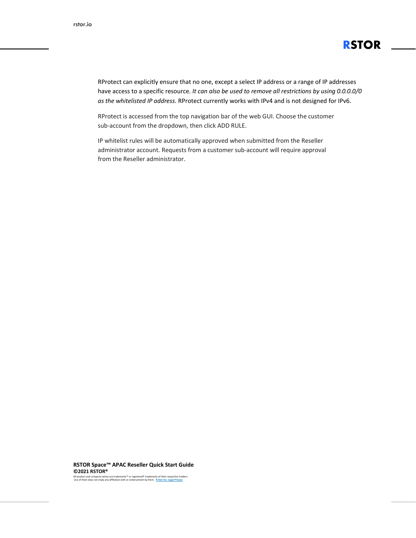

RProtect can explicitly ensure that no one, except a select IP address or a range of IP addresses have access to a specific resource. *It can also be used to remove all restrictions by using 0.0.0.0/0 as the whitelisted IP address.* RProtect currently works with IPv4 and is not designed for IPv6.

RProtect is accessed from the top navigation bar of the web GUI. Choose the customer sub-account from the dropdown, then click ADD RULE.

IP whitelist rules will be automatically approved when submitted from the Reseller administrator account. Requests from a customer sub-account will require approval from the Reseller administrator.

**RSTOR Space™ APAC Reseller Quick Start Guide ©2021 RSTOR®**

All product and company names are trademarks™ or registered® trademarks of their respective holders. Use of them does not imply any affiliation with or endorsement by them. **[R-Stor Inc. Legal Privacy](https://www.rstor.io/legal-privacy/)**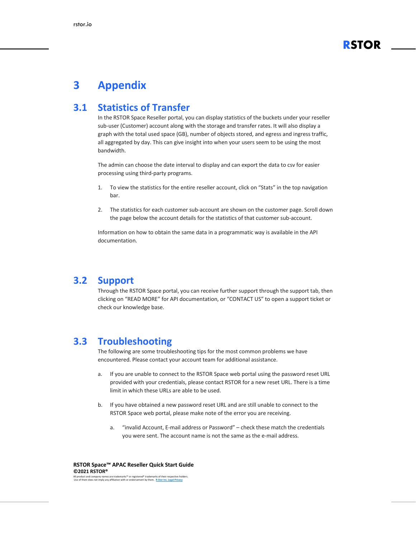

# <span id="page-5-0"></span>**3 Appendix**

### <span id="page-5-1"></span>**3.1 Statistics of Transfer**

In the RSTOR Space Reseller portal, you can display statistics of the buckets under your reseller sub-user (Customer) account along with the storage and transfer rates. It will also display a graph with the total used space (GB), number of objects stored, and egress and ingress traffic, all aggregated by day. This can give insight into when your users seem to be using the most bandwidth.

The admin can choose the date interval to display and can export the data to csv for easier processing using third-party programs.

- 1. To view the statistics for the entire reseller account, click on "Stats" in the top navigation bar.
- 2. The statistics for each customer sub-account are shown on the customer page. Scroll down the page below the account details for the statistics of that customer sub-account.

Information on how to obtain the same data in a programmatic way is available in the API documentation.

#### <span id="page-5-2"></span>**3.2 Support**

Through the RSTOR Space portal, you can receive further support through the support tab, then clicking on "READ MORE" for API documentation, or "CONTACT US" to open a support ticket or check our knowledge base.

#### <span id="page-5-3"></span>**3.3 Troubleshooting**

The following are some troubleshooting tips for the most common problems we have encountered. Please contact your account team for additional assistance.

- a. If you are unable to connect to the RSTOR Space web portal using the password reset URL provided with your credentials, please contact RSTOR for a new reset URL. There is a time limit in which these URLs are able to be used.
- b. If you have obtained a new password reset URL and are still unable to connect to the RSTOR Space web portal, please make note of the error you are receiving.
	- a. "invalid Account, E-mail address or Password" check these match the credentials you were sent. The account name is not the same as the e-mail address.